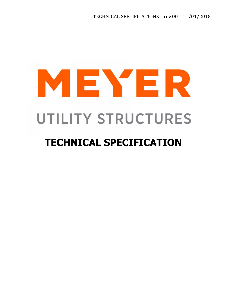# MEYER UTILITY STRUCTURES

# **TECHNICAL SPECIFICATION**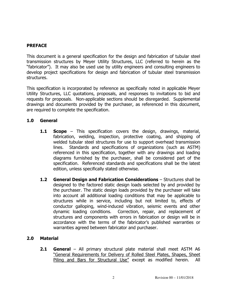## **PREFACE**

This document is a general specification for the design and fabrication of tubular steel transmission structures by Meyer Utility Structures, LLC (referred to herein as the "fabricator"). It may also be used use by utility engineers and consulting engineers to develop project specifications for design and fabrication of tubular steel transmission structures.

This specification is incorporated by reference as specifically noted in applicable Meyer Utility Structures, LLC quotations, proposals, and responses to invitations to bid and requests for proposals. Non-applicable sections should be disregarded. Supplemental drawings and documents provided by the purchaser, as referenced in this document, are required to complete the specification.

### **1.0 General**

- **1.1 Scope** This specification covers the design, drawings, material, fabrication, welding, inspection, protective coating, and shipping of welded tubular steel structures for use to support overhead transmission lines. Standards and specifications of organizations (such as ASTM) referenced in this specification, together with any drawings and loading diagrams furnished by the purchaser, shall be considered part of the specification. Referenced standards and specifications shall be the latest edition, unless specifically stated otherwise.
- **1.2 General Design and Fabrication Considerations** Structures shall be designed to the factored static design loads selected by and provided by the purchaser. The static design loads provided by the purchaser will take into account all additional loading conditions that may be applicable to structures while in service, including but not limited to, effects of conductor galloping, wind-induced vibration, seismic events and other dynamic loading conditions. Correction, repair, and replacement of structures and components with errors in fabrication or design will be in accordance with the terms of the fabricator's published warranties or warranties agreed between fabricator and purchaser.

# **2.0 Material**

**2.1 General** – All primary structural plate material shall meet ASTM A6 "General Requirements for Delivery of Rolled Steel Plates, Shapes, Sheet Piling and Bars for Structural Use" except as modified herein. All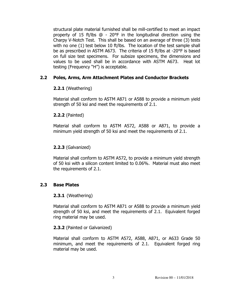structural plate material furnished shall be mill-certified to meet an impact property of 15 ft/lbs @ - 20°F in the longitudinal direction using the Charpy V-Notch Test. This shall be based on an average of three (3) tests with no one (1) test below 10 ft/lbs. The location of the test sample shall be as prescribed in ASTM A673. The criteria of 15 ft/lbs at -20°F is based on full size test specimens. For subsize specimens, the dimensions and values to be used shall be in accordance with ASTM A673. Heat lot testing (Frequency "H") is acceptable.

# **2.2 Poles, Arms, Arm Attachment Plates and Conductor Brackets**

# **2.2.1** (Weathering)

Material shall conform to ASTM A871 or A588 to provide a minimum yield strength of 50 ksi and meet the requirements of 2.1.

# **2.2.2** (Painted)

Material shall conform to ASTM A572, A588 or A871, to provide a minimum yield strength of 50 ksi and meet the requirements of 2.1.

# **2.2.3** (Galvanized)

Material shall conform to ASTM A572, to provide a minimum yield strength of 50 ksi with a silicon content limited to 0.06%. Material must also meet the requirements of 2.1.

# **2.3 Base Plates**

### **2.3.1** (Weathering)

Material shall conform to ASTM A871 or A588 to provide a minimum yield strength of 50 ksi, and meet the requirements of 2.1. Equivalent forged ring material may be used.

### **2.3.2** (Painted or Galvanized)

Material shall conform to ASTM A572, A588, A871, or A633 Grade 50 minimum, and meet the requirements of 2.1. Equivalent forged ring material may be used.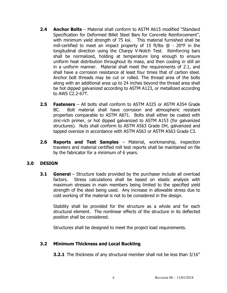- **2.4 Anchor Bolts** Material shall conform to ASTM A615 modified "Standard Specification for Deformed Billet Steel Bars for Concrete Reinforcement", with minimum yield strength of 75 ksi. This material furnished shall be mill-certified to meet an impact property of 15 ft/lbs @ - 20°F in the longitudinal direction using the Charpy V-Notch Test. Reinforcing bars shall be normalized, holding at temperature long enough to ensure uniform heat distribution throughout its mass, and then cooling in still air in a uniform manner. Material shall meet the requirements of 2.1, and shall have a corrosion resistance at least four times that of carbon steel. Anchor bolt threads may be cut or rolled. The thread area of the bolts along with an additional area up to 24 inches beyond the thread area shall be hot dipped galvanized according to ASTM A123, or metallized according to AWS C2.2-67T.
- **2.5 Fasteners**  All bolts shall conform to ASTM A325 or ASTM A354 Grade BC. Bolt material shall have corrosion and atmospheric resistant properties comparable to ASTM A871. Bolts shall either be coated with zinc-rich primer, or hot dipped galvanized to ASTM A153 (for galvanized structures). Nuts shall conform to ASTM A563 Grade DH, galvanized and tapped oversize in accordance with ASTM A563 or ASTM A563 Grade C3.
- **2.6 Reports and Test Samples**  Material, workmanship, inspection travelers and material certified mill test reports shall be maintained on file by the fabricator for a minimum of 6 years.

### **3.0 DESIGN**

**3.1 General** – Structure loads provided by the purchaser include all overload factors. Stress calculations shall be based on elastic analysis with maximum stresses in main members being limited to the specified yield strength of the steel being used. Any increase in allowable stress due to cold working of the material is not to be considered in the design.

Stability shall be provided for the structure as a whole and for each structural element. The nonlinear effects of the structure in its deflected position shall be considered.

Structures shall be designed to meet the project load requirements.

# **3.2 Minimum Thickness and Local Buckling**

**3.2.1** The thickness of any structural member shall not be less than 3/16"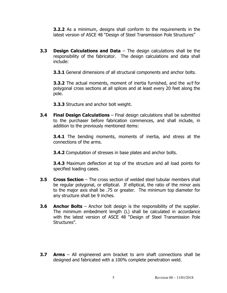**3.2.2** As a minimum, designs shall conform to the requirements in the latest version of ASCE 48 "Design of Steel Transmission Pole Structures"

**3.3 Design Calculations and Data** – The design calculations shall be the responsibility of the fabricator. The design calculations and data shall include:

**3.3.1** General dimensions of all structural components and anchor bolts.

**3.3.2** The actual moments, moment of inertia furnished, and the  $w/t$  for polygonal cross sections at all splices and at least every 20 feet along the pole.

**3.3.3** Structure and anchor bolt weight.

**3.4 Final Design Calculations** – Final design calculations shall be submitted to the purchaser before fabrication commences, and shall include, in addition to the previously mentioned items:

**3.4.1** The bending moments, moments of inertia, and stress at the connections of the arms.

**3.4.2** Computation of stresses in base plates and anchor bolts.

**3.4.3** Maximum deflection at top of the structure and all load points for specified loading cases.

- **3.5 Cross Section**  The cross section of welded steel tubular members shall be regular polygonal, or elliptical. If elliptical, the ratio of the minor axis to the major axis shall be .75 or greater. The minimum top diameter for any structure shall be 9 inches.
- **3.6 Anchor Bolts**  Anchor bolt design is the responsibility of the supplier. The minimum embedment length (L) shall be calculated in accordance with the latest version of ASCE 48 "Design of Steel Transmission Pole Structures".
- **3.7 Arms**  All engineered arm bracket to arm shaft connections shall be designed and fabricated with a 100% complete penetration weld.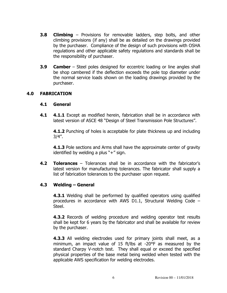- **3.8 Climbing**  Provisions for removable ladders, step bolts, and other climbing provisions (if any) shall be as detailed on the drawings provided by the purchaser. Compliance of the design of such provisions with OSHA regulations and other applicable safety regulations and standards shall be the responsibility of purchaser.
- **3.9 Camber** Steel poles designed for eccentric loading or line angles shall be shop cambered if the deflection exceeds the pole top diameter under the normal service loads shown on the loading drawings provided by the purchaser.

#### **4.0 FABRICATION**

#### **4.1 General**

**4.1 4.1.1** Except as modified herein, fabrication shall be in accordance with latest version of ASCE 48 "Design of Steel Transmission Pole Structures".

**4.1.2** Punching of holes is acceptable for plate thickness up and including 3/4".

**4.1.3** Pole sections and Arms shall have the approximate center of gravity identified by welding a plus "+" sign.

**4.2 Tolerances** – Tolerances shall be in accordance with the fabricator's latest version for manufacturing tolerances. The fabricator shall supply a list of fabrication tolerances to the purchaser upon request.

### **4.3 Welding – General**

**4.3.1** Welding shall be performed by qualified operators using qualified procedures in accordance with AWS D1.1, Structural Welding Code – Steel.

**4.3.2** Records of welding procedure and welding operator test results shall be kept for 6 years by the fabricator and shall be available for review by the purchaser.

**4.3.3** All welding electrodes used for primary joints shall meet, as a minimum, an impact value of 15 ft/lbs at -20°F as measured by the standard Charpy V-notch test. They shall equal or exceed the specified physical properties of the base metal being welded when tested with the applicable AWS specification for welding electrodes.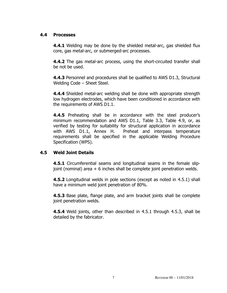### **4.4 Processes**

**4.4.1** Welding may be done by the shielded metal-arc, gas shielded flux core, gas metal-arc, or submerged-arc processes.

**4.4.2** The gas metal-arc process, using the short-circuited transfer shall be not be used.

**4.4.3** Personnel and procedures shall be qualified to AWS D1.3, Structural Welding Code – Sheet Steel.

**4.4.4** Shielded metal-arc welding shall be done with appropriate strength low hydrogen electrodes, which have been conditioned in accordance with the requirements of AWS D1.1.

**4.4.5** Preheating shall be in accordance with the steel producer's minimum recommendation and AWS D1.1, Table 3.3, Table 4.9, or, as verified by testing for suitability for structural application in accordance with AWS D1.1, Annex H. Preheat and interpass temperature requirements shall be specified in the applicable Welding Procedure Specification (WPS).

### **4.5 Weld Joint Details**

**4.5.1** Circumferential seams and longitudinal seams in the female slipjoint (nominal) area + 6 inches shall be complete joint penetration welds.

**4.5.2** Longitudinal welds in pole sections (except as noted in 4.5.1) shall have a minimum weld joint penetration of 80%.

**4.5.3** Base plate, flange plate, and arm bracket joints shall be complete joint penetration welds.

**4.5.4** Weld joints, other than described in 4.5.1 through 4.5.3, shall be detailed by the fabricator.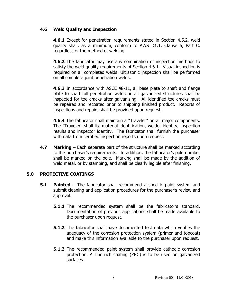# **4.6 Weld Quality and Inspection**

**4.6.1** Except for penetration requirements stated in Section 4.5.2, weld quality shall, as a minimum, conform to AWS D1.1, Clause 6, Part C, regardless of the method of welding.

**4.6.2** The fabricator may use any combination of inspection methods to satisfy the weld quality requirements of Section 4.6.1. Visual inspection is required on all completed welds. Ultrasonic inspection shall be performed on all complete joint penetration welds.

**4.6.3** In accordance with ASCE 48-11, all base plate to shaft and flange plate to shaft full penetration welds on all galvanized structures shall be inspected for toe cracks after galvanizing. All identified toe cracks must be repaired and recoated prior to shipping finished product. Reports of inspections and repairs shall be provided upon request.

**4.6.4** The fabricator shall maintain a "Traveler" on all major components. The "Traveler" shall list material identification, welder identity, inspection results and inspector identity. The fabricator shall furnish the purchaser with data from certified inspection reports upon request.

**4.7 Marking** – Each separate part of the structure shall be marked according to the purchaser's requirements. In addition, the fabricator's pole number shall be marked on the pole. Marking shall be made by the addition of weld metal, or by stamping, and shall be clearly legible after finishing.

### **5.0 PROTECTIVE COATINGS**

- **5.1 Painted** The fabricator shall recommend a specific paint system and submit cleaning and application procedures for the purchaser's review and approval.
	- **5.1.1** The recommended system shall be the fabricator's standard. Documentation of previous applications shall be made available to the purchaser upon request.
	- **5.1.2** The fabricator shall have documented test data which verifies the adequacy of the corrosion protection system (primer and topcoat) and make this information available to the purchaser upon request.
	- **5.1.3** The recommended paint system shall provide cathodic corrosion protection. A zinc rich coating (ZRC) is to be used on galvanized surfaces.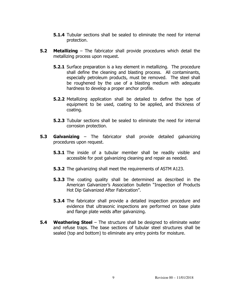- **5.1.4** Tubular sections shall be sealed to eliminate the need for internal protection.
- **5.2 Metallizing** The fabricator shall provide procedures which detail the metallizing process upon request.
	- **5.2.1** Surface preparation is a key element in metallizing. The procedure shall define the cleaning and blasting process. All contaminants, especially petroleum products, must be removed. The steel shall be roughened by the use of a blasting medium with adequate hardness to develop a proper anchor profile.
	- **5.2.2** Metallizing application shall be detailed to define the type of equipment to be used, coating to be applied, and thickness of coating.
	- **5.2.3** Tubular sections shall be sealed to eliminate the need for internal corrosion protection.
- **5.3 Galvanizing** The fabricator shall provide detailed galvanizing procedures upon request.
	- **5.3.1** The inside of a tubular member shall be readily visible and accessible for post galvanizing cleaning and repair as needed.
	- **5.3.2** The galvanizing shall meet the requirements of ASTM A123.
	- **5.3.3** The coating quality shall be determined as described in the American Galvanizer's Association bulletin "Inspection of Products Hot Dip Galvanized After Fabrication".
	- **5.3.4** The fabricator shall provide a detailed inspection procedure and evidence that ultrasonic inspections are performed on base plate and flange plate welds after galvanizing.
- **5.4 Weathering Steel** The structure shall be designed to eliminate water and refuse traps. The base sections of tubular steel structures shall be sealed (top and bottom) to eliminate any entry points for moisture.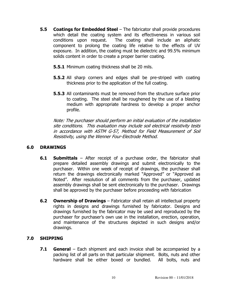- **5.5 Coatings for Embedded Steel** The fabricator shall provide procedures which detail the coating system and its effectiveness in various soil conditions upon request. The coating shall include an aliphatic component to prolong the coating life relative to the effects of UV exposure. In addition, the coating must be dielectric and 99.5% minimum solids content in order to create a proper barrier coating.
	- **5.5.1** Minimum coating thickness shall be 20 mils.
	- **5.5.2** All sharp corners and edges shall be pre-striped with coating thickness prior to the application of the full coating.
	- **5.5.3** All contaminants must be removed from the structure surface prior to coating. The steel shall be roughened by the use of a blasting medium with appropriate hardness to develop a proper anchor profile.

Note: The purchaser should perform an initial evaluation of the installation site conditions. This evaluation may include soil electrical resistivity tests in accordance with ASTM G-57, Method for Field Measurement of Soil Resistivity, using the Wenner Four-Electrode Method.

### **6.0 DRAWINGS**

- **6.1 Submittals** After receipt of a purchase order, the fabricator shall prepare detailed assembly drawings and submit electronically to the purchaser. Within one week of receipt of drawings, the purchaser shall return the drawings electronically marked "Approved" or "Approved as Noted". After resolution of all comments from the purchaser, updated assembly drawings shall be sent electronically to the purchaser. Drawings shall be approved by the purchaser before proceeding with fabrication
- **6.2 Ownership of Drawings** Fabricator shall retain all intellectual property rights in designs and drawings furnished by fabricator. Designs and drawings furnished by the fabricator may be used and reproduced by the purchaser for purchaser's own use in the installation, erection, operation, and maintenance of the structures depicted in such designs and/or drawings.

# **7.0 SHIPPING**

**7.1 General** – Each shipment and each invoice shall be accompanied by a packing list of all parts on that particular shipment. Bolts, nuts and other hardware shall be either boxed or bundled. All bolts, nuts and